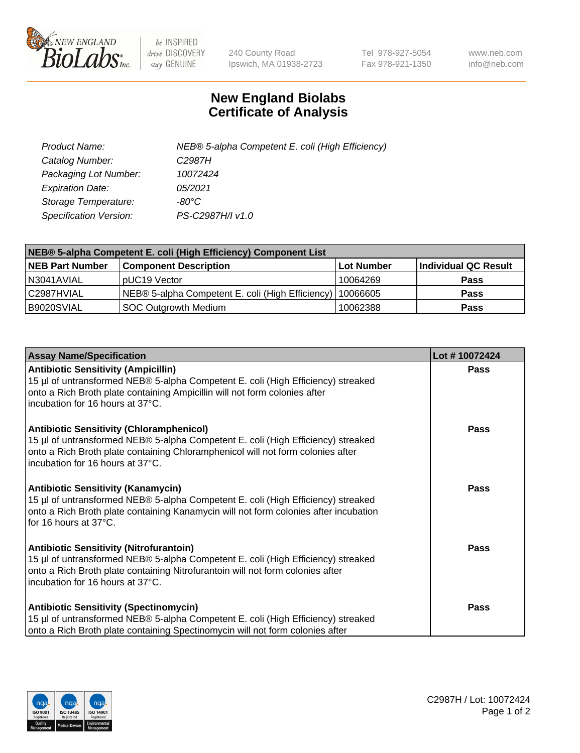

 $be$  INSPIRED drive DISCOVERY stay GENUINE

240 County Road Ipswich, MA 01938-2723 Tel 978-927-5054 Fax 978-921-1350 www.neb.com info@neb.com

## **New England Biolabs Certificate of Analysis**

| Product Name:           | NEB® 5-alpha Competent E. coli (High Efficiency) |
|-------------------------|--------------------------------------------------|
| Catalog Number:         | C <sub>2987</sub> H                              |
| Packaging Lot Number:   | 10072424                                         |
| <b>Expiration Date:</b> | 05/2021                                          |
| Storage Temperature:    | -80°C                                            |
| Specification Version:  | PS-C2987H/I v1.0                                 |

| NEB® 5-alpha Competent E. coli (High Efficiency) Component List |                                                             |                   |                      |  |
|-----------------------------------------------------------------|-------------------------------------------------------------|-------------------|----------------------|--|
| <b>NEB Part Number</b>                                          | <b>Component Description</b>                                | <b>Lot Number</b> | Individual QC Result |  |
| N3041AVIAL                                                      | pUC19 Vector                                                | 10064269          | <b>Pass</b>          |  |
| C2987HVIAL                                                      | NEB® 5-alpha Competent E. coli (High Efficiency)   10066605 |                   | <b>Pass</b>          |  |
| B9020SVIAL                                                      | SOC Outgrowth Medium                                        | 10062388          | <b>Pass</b>          |  |

| <b>Assay Name/Specification</b>                                                                                                                                                                                                                            | Lot #10072424 |
|------------------------------------------------------------------------------------------------------------------------------------------------------------------------------------------------------------------------------------------------------------|---------------|
| <b>Antibiotic Sensitivity (Ampicillin)</b><br>15 µl of untransformed NEB® 5-alpha Competent E. coli (High Efficiency) streaked<br>onto a Rich Broth plate containing Ampicillin will not form colonies after<br>incubation for 16 hours at 37°C.           | Pass          |
| <b>Antibiotic Sensitivity (Chloramphenicol)</b><br>15 µl of untransformed NEB® 5-alpha Competent E. coli (High Efficiency) streaked<br>onto a Rich Broth plate containing Chloramphenicol will not form colonies after<br>incubation for 16 hours at 37°C. | Pass          |
| Antibiotic Sensitivity (Kanamycin)<br>15 µl of untransformed NEB® 5-alpha Competent E. coli (High Efficiency) streaked<br>onto a Rich Broth plate containing Kanamycin will not form colonies after incubation<br>for 16 hours at 37°C.                    | Pass          |
| <b>Antibiotic Sensitivity (Nitrofurantoin)</b><br>15 µl of untransformed NEB® 5-alpha Competent E. coli (High Efficiency) streaked<br>onto a Rich Broth plate containing Nitrofurantoin will not form colonies after<br>incubation for 16 hours at 37°C.   | <b>Pass</b>   |
| <b>Antibiotic Sensitivity (Spectinomycin)</b><br>15 µl of untransformed NEB® 5-alpha Competent E. coli (High Efficiency) streaked<br>onto a Rich Broth plate containing Spectinomycin will not form colonies after                                         | Pass          |